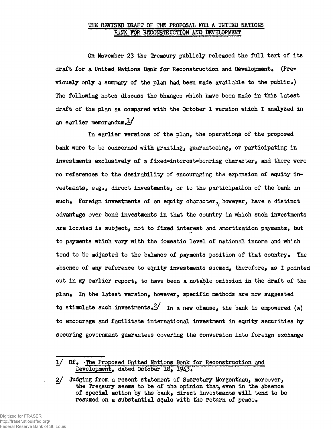## THE REVISED DRAFT OF THE PROPOSAL FOR A UNITED NATIONS BANK FOR RECONSTRUCTION AND DEVELOPMENT

**On November 23 the treasury publicly released the full text of its draft for a United. Nations Bank for Reconstruction and Development. (Pre**viously only a summary of the plan had been made available to the public.) **The following notes discuss the bhanges which have been made in this latest draft of the plan as compared with the October 1 version which I analyzed in** an earlier memorandum. $\frac{1}{4}$ 

**In earlier versions of the plan, the operations of the proposed bank were to be concerned with granting, guaranteeing, or participating in investments exclusively of a fixed-interest-bearing character, and there were no references to the desirability of encouraging the expansion of equity investments, e«g«, direct investments, or to the participation of the bank in** such. Foreign investments of an equity character, however, have a distinct **advantage over bond investments in that the country in which such investments are located is subject, not to fixed interest and amortization payments, but to payments which vary with the domestic level of national income and which** tend to be adjusted to the balance of payments position of that country. The **absence of any reference to equity investments seemed, therefore^ as I pointed out in ray earlier report, to have been a notable omission in the draft of the** plan. In the latest version, however, specific methods are now suggested **to stimulate such investments•£/ in a new clause, the bank is empowered (a) to encourage and facilitate international investment in equity securities by securing government guarantees covering the conversion into foreign exchange**

**<sup>1/</sup> Cf.** The Proposed United Nations Bank for Reconstruction and  $Development, dated October 18, 1943.$ 

**<sup>2/</sup> Judging from a recent statement of Secretary Morgenthau, moreover,** the Treasury seems to be of the opinion that, even in the absence **of special action by the bankf direct investments will tend to be resumed on a substantial scale with the return of peace•**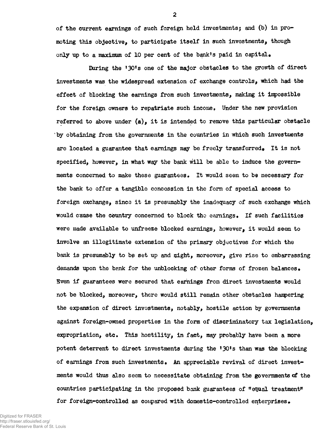**of the current earnings of such foreign held investmentsj and (b) in promoting this objective, to participate itself in such investments, though only up to a maximum of 10 per cent of the bank!s paid in capital•**

**Daring the <sup>f</sup>30<sup>f</sup>s one of the major obstacles to the growth of direct investments was the widespread extension of exchange controls, which had the effect of blocking the earnings from such investments, making it impossible** for the foreign owners to repatriate such income, Under the new provision **referred to above under (a), it is intended to remove this particular obstacle <sup>k</sup> by obtaining from the governments in the countries in which such investiuents** are located a guarantee that earnings may be freely transferred. It is not **specified, however, in what way the bank will be able to induce the govern**ments concerned to make these guarantees. It would seem to be necessary for **the bank to offer a tangible concession in the form of special access to foreign exchange, since it is presumably the inadequacy of such exchange which would cause the country concerned to block the earnings• If such facilities were made available to unfreeze blocked earnings, however, it would seem to involve sn illegitimate extension of the primary objectives for which the** bank is presumably to be set up and might, moreover, give rise to embarrassing demands upon the bank for the unblocking of other forms of frozen balances. **Sven if guarantees were secured that earnings from direct investments would not be blocked, moreover, there would still remain other obstacles hampering the expansion of direct investments, notably, hostile action by governments against foreign-owned properties in the form of discriminatory tax legislation,** expropriation, etc. This hostility, in fact, may probably have been a more **potent deterrent to direct investments during the <sup>f</sup>30<sup>f</sup>s than was the blocking** of earnings from such investments. An appreciable revival of direct invest**ments would thus also seem to necessitate obtaining from the governments of the countries participating in the proposed bank guarantees of "equal treatment"** for foreign-controlled as compared with domestic-controlled enterprises.

Digitized for FRASER http://fraser.stlouisfed.org/ Federal Reserve Bank of St. Louis **2**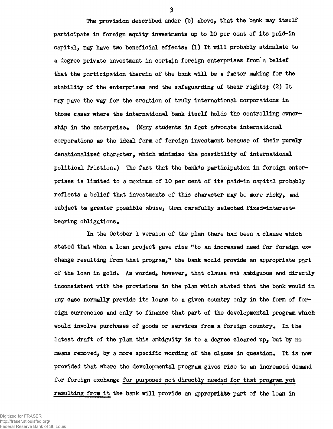**The provision described under (b) above, that the bank may itself participate in foreign equity investments up to 10 per cent of its paid-in capital, may have two beneficial effects: (1) It will probably stimulate to a degree private investment in certain foreign enterprises from' a belief that the participation therein of the bank will be a factor making for the stability of the enterprises and the safeguarding of their rights) (2) It may pave the way for the creation of truly international corporations in those cases where the international bank itself holds the controlling owner**ship in the enterprise. (Many students in fact advocate international **corporations as the ideal form of foreign investment because of their purely denationalised character, which minimize the possibility of international political friction\*) The fact that the bank\*s participation in foreign enterprises is limited to a maxiimim of 10 per cent of its paid-in capital probably reflects a belief that investments of this character may be more risky, and subject to greater possible abuse, than carefully selected fixed-interestbearing obligations•**

**In the October 1 version of the plan there had been a clause which** stated that when a loan project gave rise "to an increased need for foreign ex**change resulting from that program," the bank would provide an appropriate part of the loan in gold\* As worded, however, that clause was ambiguous and directly inconsistent with the provisions in the plan which stated that the bank would in any case normally provide its loans to a given country only in the form of foreign currencies and only to finance that part of the developmental program which would involve purchases of goods or services from a foreign country\* In the latest draft of the plan this ambiguity is to a degree cleared up, but by no means removed, by a more specific wording of the clause in question\* It is now provided that where the developmental program gives rise to an increased demand for foreign exchange for purposes not directly needed for that program yet resulting from it the bank will provide an appropriate part of the loan in**

Digitized for FRASER http://fraser.stlouisfed.org/ Federal Reserve Bank of St. Louis **3**